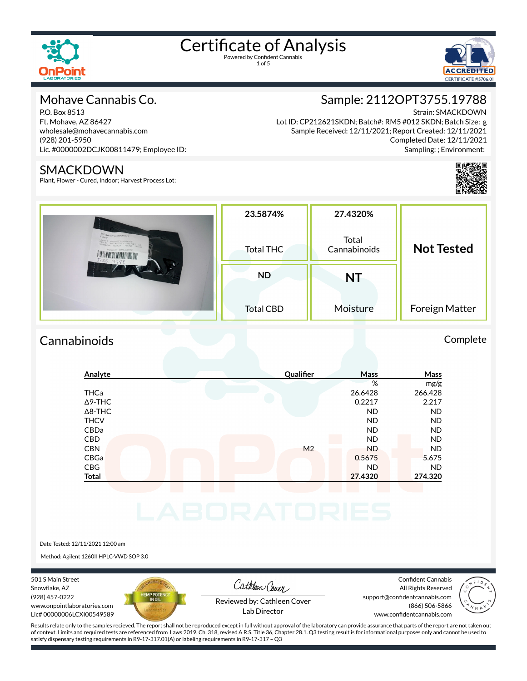

1 of 5



### Mohave Cannabis Co.

P.O. Box 8513 Ft. Mohave, AZ 86427 wholesale@mohavecannabis.com (928) 201-5950 Lic. #0000002DCJK00811479; Employee ID:

#### SMACKDOWN

Plant, Flower - Cured, Indoor; Harvest Process Lot:

## Sample: 2112OPT3755.19788

Strain: SMACKDOWN

Lot ID: CP212621SKDN; Batch#: RM5 #012 SKDN; Batch Size: g Sample Received: 12/11/2021; Report Created: 12/11/2021 Completed Date: 12/11/2021 Sampling: ; Environment:



| Mohave Smackdown Bulk<br>00000002DC-X00811479<br>.79788 | 23.5874%<br>Total THC | 27.4320%<br>Total<br>Cannabinoids | <b>Not Tested</b> |
|---------------------------------------------------------|-----------------------|-----------------------------------|-------------------|
|                                                         | <b>ND</b>             | NT                                |                   |
|                                                         | <b>Total CBD</b>      | Moisture                          | Foreign Matter    |

### Cannabinoids Complete

# **Analyte Qualier Mass Mass** % mg/g THCa 26.6428 266.428

| $\Delta$ 9-THC |  |                | 0.2217    | 2.217     |
|----------------|--|----------------|-----------|-----------|
| $\Delta$ 8-THC |  |                | <b>ND</b> | <b>ND</b> |
| <b>THCV</b>    |  |                | <b>ND</b> | <b>ND</b> |
| CBDa           |  |                | <b>ND</b> | <b>ND</b> |
| <b>CBD</b>     |  |                | <b>ND</b> | <b>ND</b> |
| <b>CBN</b>     |  | M <sub>2</sub> | <b>ND</b> | <b>ND</b> |
| <b>CBGa</b>    |  |                | 0.5675    | 5.675     |
| <b>CBG</b>     |  |                | <b>ND</b> | <b>ND</b> |
| <b>Total</b>   |  |                | 27.4320   | 274.320   |
|                |  |                |           |           |
|                |  |                |           |           |
|                |  |                |           |           |
|                |  |                |           |           |

#### Date Tested: 12/11/2021 12:00 am

Method: Agilent 1260II HPLC-VWD SOP 3.0

501 S Main Street Snowflake, AZ (928) 457-0222 www.onpointlaboratories.com Lic# 00000006LCXI00549589



Cathleen Cover

Confident Cannabis All Rights Reserved support@confidentcannabis.com (866) 506-5866



Reviewed by: Cathleen Cover Lab Director

www.confidentcannabis.com

Results relate only to the samples recieved. The report shall not be reproduced except in full without approval of the laboratory can provide assurance that parts of the report are not taken out of context. Limits and required tests are referenced from Laws 2019, Ch. 318, revised A.R.S. Title 36, Chapter 28.1. Q3 testing result is for informational purposes only and cannot be used to satisfy dispensary testing requirements in R9-17-317.01(A) or labeling requirements in R9-17-317 – Q3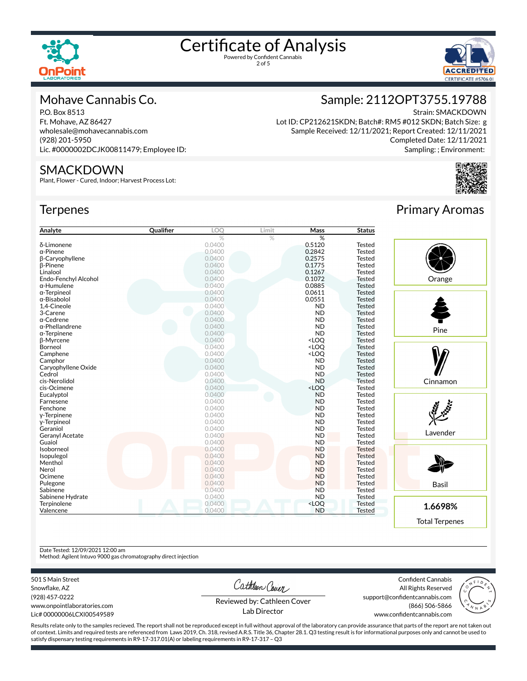

2 of 5



#### Mohave Cannabis Co.

P.O. Box 8513 Ft. Mohave, AZ 86427 wholesale@mohavecannabis.com (928) 201-5950 Lic. #0000002DCJK00811479; Employee ID:

#### SMACKDOWN

Plant, Flower - Cured, Indoor; Harvest Process Lot:

#### **Terpenes**

| Analyte                | Qualifier | .OQ    | Limit | <b>Mass</b>                               | <b>Status</b> |
|------------------------|-----------|--------|-------|-------------------------------------------|---------------|
|                        |           | %      | $\%$  | %                                         |               |
| δ-Limonene             |           | 0.0400 |       | 0.5120                                    | <b>Tested</b> |
| $\alpha$ -Pinene       |           | 0.0400 |       | 0.2842                                    | <b>Tested</b> |
| β-Caryophyllene        |           | 0.0400 |       | 0.2575                                    | <b>Tested</b> |
| <b>B-Pinene</b>        |           | 0.0400 |       | 0.1775                                    | Tested        |
| Linalool               |           | 0.0400 |       | 0.1267                                    | <b>Tested</b> |
| Endo-Fenchyl Alcohol   |           | 0.0400 |       | 0.1072                                    | <b>Tested</b> |
| $\alpha$ -Humulene     |           | 0.0400 |       | 0.0885                                    | <b>Tested</b> |
| $\alpha$ -Terpineol    |           | 0.0400 |       | 0.0611                                    | <b>Tested</b> |
| $\alpha$ -Bisabolol    |           | 0.0400 |       | 0.0551                                    | <b>Tested</b> |
| 1,4-Cineole            |           | 0.0400 |       | <b>ND</b>                                 | Tested        |
| 3-Carene               |           | 0.0400 |       | <b>ND</b>                                 | <b>Tested</b> |
| $\alpha$ -Cedrene      |           | 0.0400 |       | <b>ND</b>                                 | Tested        |
| $\alpha$ -Phellandrene |           | 0.0400 |       | <b>ND</b>                                 | <b>Tested</b> |
| $\alpha$ -Terpinene    |           | 0.0400 |       | <b>ND</b>                                 | <b>Tested</b> |
| <b>B-Myrcene</b>       |           | 0.0400 |       | <loq< td=""><td><b>Tested</b></td></loq<> | <b>Tested</b> |
| Borneol                |           | 0.0400 |       | <loq< td=""><td><b>Tested</b></td></loq<> | <b>Tested</b> |
| Camphene               |           | 0.0400 |       | <loq< td=""><td><b>Tested</b></td></loq<> | <b>Tested</b> |
| Camphor                |           | 0.0400 |       | <b>ND</b>                                 | Tested        |
| Caryophyllene Oxide    |           | 0.0400 |       | <b>ND</b>                                 | Tested        |
| Cedrol                 |           | 0.0400 |       | <b>ND</b>                                 | Tested        |
| cis-Nerolidol          |           | 0.0400 |       | <b>ND</b>                                 | <b>Tested</b> |
| cis-Ocimene            |           | 0.0400 |       | <loq< td=""><td><b>Tested</b></td></loq<> | <b>Tested</b> |
| Eucalyptol             |           | 0.0400 |       | <b>ND</b>                                 | <b>Tested</b> |
| Farnesene              |           | 0.0400 |       | <b>ND</b>                                 | <b>Tested</b> |
| Fenchone               |           | 0.0400 |       | <b>ND</b>                                 | <b>Tested</b> |
| y-Terpinene            |           | 0.0400 |       | <b>ND</b>                                 | <b>Tested</b> |
| y-Terpineol            |           | 0.0400 |       | <b>ND</b>                                 | <b>Tested</b> |
| Geraniol               |           | 0.0400 |       | <b>ND</b>                                 | <b>Tested</b> |
| <b>Geranyl Acetate</b> |           | 0.0400 |       | <b>ND</b>                                 | <b>Tested</b> |
| Guaiol                 |           | 0.0400 |       | <b>ND</b>                                 | <b>Tested</b> |
| Isoborneol             |           | 0.0400 |       | <b>ND</b>                                 | <b>Tested</b> |
| Isopulegol             |           | 0.0400 |       | <b>ND</b>                                 | <b>Tested</b> |
| Menthol                |           | 0.0400 |       | <b>ND</b>                                 | <b>Tested</b> |
| Nerol                  |           | 0.0400 |       | <b>ND</b>                                 | <b>Tested</b> |
| Ocimene                |           | 0.0400 |       | <b>ND</b>                                 | <b>Tested</b> |
| Pulegone               |           | 0.0400 |       | <b>ND</b>                                 | <b>Tested</b> |
| Sabinene               |           | 0.0400 |       | <b>ND</b>                                 | <b>Tested</b> |
| Sabinene Hydrate       |           | 0.0400 |       | <b>ND</b>                                 | <b>Tested</b> |
| Terpinolene            |           | 0.0400 |       | <loq< td=""><td><b>Tested</b></td></loq<> | <b>Tested</b> |
| Valencene              |           | 0.0400 |       | <b>ND</b>                                 | <b>Tested</b> |

Primary Aromas

Completed Date: 12/11/2021 Sampling: ; Environment:

Strain: SMACKDOWN

Sample: 2112OPT3755.19788

Lot ID: CP212621SKDN; Batch#: RM5 #012 SKDN; Batch Size: g Sample Received: 12/11/2021; Report Created: 12/11/2021



Date Tested: 12/09/2021 12:00 am

Method: Agilent Intuvo 9000 gas chromatography direct injection

501 S Main Street

Snowflake, AZ (928) 457-0222 www.onpointlaboratories.com Lic# 00000006LCXI00549589 Cathleen Cover

Confident Cannabis All Rights Reserved support@confidentcannabis.com (866) 506-5866



Reviewed by: Cathleen Cover Lab Director

Results relate only to the samples recieved. The report shall not be reproduced except in full without approval of the laboratory can provide assurance that parts of the report are not taken out of context. Limits and required tests are referenced from Laws 2019, Ch. 318, revised A.R.S. Title 36, Chapter 28.1. Q3 testing result is for informational purposes only and cannot be used to satisfy dispensary testing requirements in R9-17-317.01(A) or labeling requirements in R9-17-317 – Q3

www.confidentcannabis.com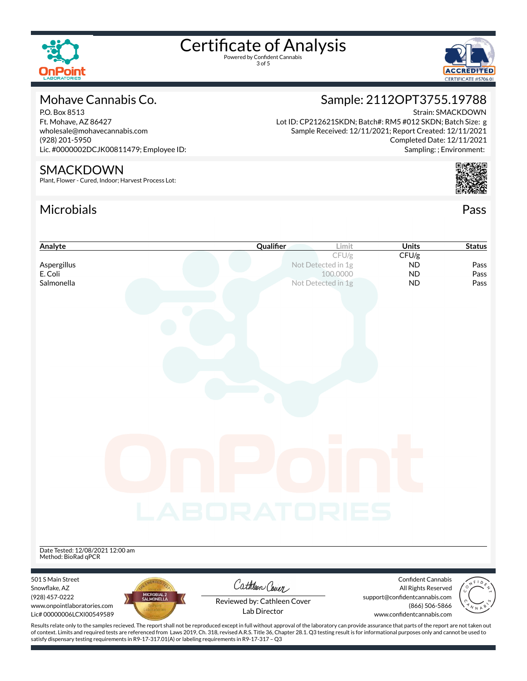

3 of 5



## Mohave Cannabis Co.

P.O. Box 8513 Ft. Mohave, AZ 86427 wholesale@mohavecannabis.com (928) 201-5950 Lic. #0000002DCJK00811479; Employee ID:

#### SMACKDOWN

Plant, Flower - Cured, Indoor; Harvest Process Lot:

satisfy dispensary testing requirements in R9-17-317.01(A) or labeling requirements in R9-17-317 – Q3

## Microbials Pass



Strain: SMACKDOWN

Sampling: ; Environment:

Sample: 2112OPT3755.19788

Lot ID: CP212621SKDN; Batch#: RM5 #012 SKDN; Batch Size: g



| Analyte                                                                                                                                                                                                                                                                                                                                                                                               | Qualifier                   | Limit                          | <b>Units</b>                                     | <b>Status</b> |
|-------------------------------------------------------------------------------------------------------------------------------------------------------------------------------------------------------------------------------------------------------------------------------------------------------------------------------------------------------------------------------------------------------|-----------------------------|--------------------------------|--------------------------------------------------|---------------|
|                                                                                                                                                                                                                                                                                                                                                                                                       |                             | CFU/g                          | CFU/g                                            |               |
| Aspergillus                                                                                                                                                                                                                                                                                                                                                                                           |                             | Not Detected in 1g             | ND                                               | Pass          |
| E. Coli<br>Salmonella                                                                                                                                                                                                                                                                                                                                                                                 |                             | 100,0000<br>Not Detected in 1g | <b>ND</b><br><b>ND</b>                           | Pass<br>Pass  |
|                                                                                                                                                                                                                                                                                                                                                                                                       |                             |                                |                                                  |               |
|                                                                                                                                                                                                                                                                                                                                                                                                       |                             |                                |                                                  |               |
|                                                                                                                                                                                                                                                                                                                                                                                                       |                             |                                |                                                  |               |
|                                                                                                                                                                                                                                                                                                                                                                                                       |                             |                                |                                                  |               |
|                                                                                                                                                                                                                                                                                                                                                                                                       |                             |                                |                                                  |               |
|                                                                                                                                                                                                                                                                                                                                                                                                       |                             |                                |                                                  |               |
|                                                                                                                                                                                                                                                                                                                                                                                                       |                             |                                |                                                  |               |
|                                                                                                                                                                                                                                                                                                                                                                                                       |                             |                                |                                                  |               |
|                                                                                                                                                                                                                                                                                                                                                                                                       |                             |                                |                                                  |               |
|                                                                                                                                                                                                                                                                                                                                                                                                       |                             |                                |                                                  |               |
|                                                                                                                                                                                                                                                                                                                                                                                                       |                             |                                |                                                  |               |
|                                                                                                                                                                                                                                                                                                                                                                                                       |                             |                                |                                                  |               |
|                                                                                                                                                                                                                                                                                                                                                                                                       |                             |                                |                                                  |               |
|                                                                                                                                                                                                                                                                                                                                                                                                       |                             |                                |                                                  |               |
|                                                                                                                                                                                                                                                                                                                                                                                                       |                             |                                |                                                  |               |
|                                                                                                                                                                                                                                                                                                                                                                                                       |                             |                                |                                                  |               |
|                                                                                                                                                                                                                                                                                                                                                                                                       |                             |                                |                                                  |               |
|                                                                                                                                                                                                                                                                                                                                                                                                       |                             |                                |                                                  |               |
|                                                                                                                                                                                                                                                                                                                                                                                                       |                             |                                |                                                  |               |
|                                                                                                                                                                                                                                                                                                                                                                                                       |                             |                                |                                                  |               |
|                                                                                                                                                                                                                                                                                                                                                                                                       | LABORATORIES                |                                |                                                  |               |
|                                                                                                                                                                                                                                                                                                                                                                                                       |                             |                                |                                                  |               |
|                                                                                                                                                                                                                                                                                                                                                                                                       |                             |                                |                                                  |               |
|                                                                                                                                                                                                                                                                                                                                                                                                       |                             |                                |                                                  |               |
| Date Tested: 12/08/2021 12:00 am                                                                                                                                                                                                                                                                                                                                                                      |                             |                                |                                                  |               |
| Method: BioRad qPCR                                                                                                                                                                                                                                                                                                                                                                                   |                             |                                |                                                  |               |
|                                                                                                                                                                                                                                                                                                                                                                                                       |                             |                                |                                                  |               |
| 501 S Main Street<br>Snowflake, AZ                                                                                                                                                                                                                                                                                                                                                                    | Cathleen Cover              |                                | <b>Confident Cannabis</b><br>All Rights Reserved |               |
| MICROBIAL 2<br>SALMONELLA<br>(928) 457-0222                                                                                                                                                                                                                                                                                                                                                           |                             |                                | support@confidentcannabis.com                    |               |
| www.onpointlaboratories.com                                                                                                                                                                                                                                                                                                                                                                           | Reviewed by: Cathleen Cover |                                | (866) 506-5866                                   |               |
| Lic#00000006LCXI00549589                                                                                                                                                                                                                                                                                                                                                                              | Lab Director                |                                | www.confidentcannabis.com                        |               |
| Results relate only to the samples recieved. The report shall not be reproduced except in full without approval of the laboratory can provide assurance that parts of the report are not taken out<br>of context. Limits and required tests are referenced from Laws 2019, Ch. 318, revised A.R.S. Title 36, Chapter 28.1. Q3 testing result is for informational purposes only and cannot be used to |                             |                                |                                                  |               |
|                                                                                                                                                                                                                                                                                                                                                                                                       |                             |                                |                                                  |               |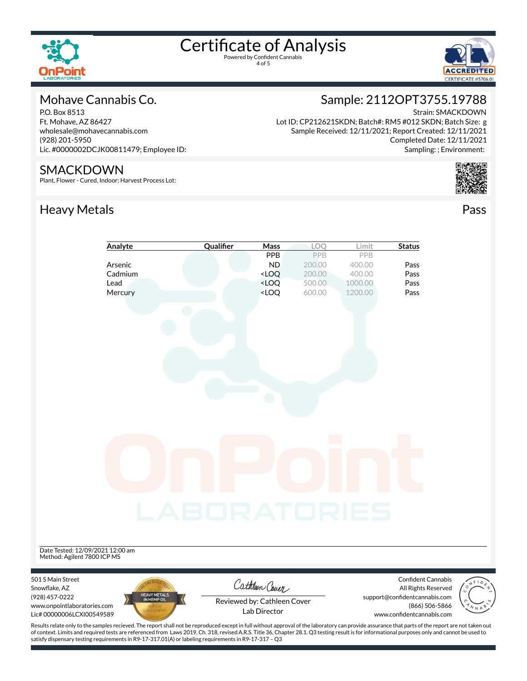

4 of 5



### Mohave Cannabis Co.

P.O. Box 8513 Ft. Mohave, AZ 86427 wholesale@mohavecannabis.com (928) 201-5950 Lic. #0000002DCJK00811479; Employee ID:

#### SMACKDOWN

Plant, Flower - Cured, Indoor; Harvest Process Lot:

## Heavy Metals **Pass**

satisfy dispensary testing requirements in R9-17-317.01(A) or labeling requirements in R9-17-317 – Q3

## Sample: 2112OPT3755.19788

Strain: SMACKDOWN

Lot ID: CP212621SKDN; Batch#: RM5 #012 SKDN; Batch Size: g Sample Received: 12/11/2021; Report Created: 12/11/2021 Completed Date: 12/11/2021 Sampling: ; Environment:



|                                  | Analyte                                                                                                                                                                                            | Qualifier    | Mass                                                                     | LOQ    | Limit   | <b>Status</b>                                   |  |
|----------------------------------|----------------------------------------------------------------------------------------------------------------------------------------------------------------------------------------------------|--------------|--------------------------------------------------------------------------|--------|---------|-------------------------------------------------|--|
|                                  |                                                                                                                                                                                                    |              | <b>PPB</b>                                                               | PPB    | PPB     |                                                 |  |
|                                  | Arsenic                                                                                                                                                                                            |              | <b>ND</b>                                                                | 200.00 | 400.00  | Pass                                            |  |
|                                  | Cadmium                                                                                                                                                                                            |              | $<$ LOQ                                                                  | 200.00 | 400.00  | Pass                                            |  |
|                                  | Lead                                                                                                                                                                                               |              | <loq< td=""><td>500.00</td><td>1000.00</td><td>Pass</td><td></td></loq<> | 500.00 | 1000.00 | Pass                                            |  |
|                                  | Mercury                                                                                                                                                                                            |              | <loq< td=""><td>600.00</td><td>1200.00</td><td>Pass</td><td></td></loq<> | 600.00 | 1200.00 | Pass                                            |  |
|                                  |                                                                                                                                                                                                    |              |                                                                          |        |         |                                                 |  |
|                                  |                                                                                                                                                                                                    |              |                                                                          |        |         |                                                 |  |
|                                  |                                                                                                                                                                                                    |              |                                                                          |        |         |                                                 |  |
|                                  |                                                                                                                                                                                                    |              |                                                                          |        |         |                                                 |  |
|                                  |                                                                                                                                                                                                    |              |                                                                          |        |         |                                                 |  |
|                                  |                                                                                                                                                                                                    |              |                                                                          |        |         |                                                 |  |
|                                  |                                                                                                                                                                                                    |              |                                                                          |        |         |                                                 |  |
|                                  |                                                                                                                                                                                                    |              |                                                                          |        |         |                                                 |  |
|                                  |                                                                                                                                                                                                    |              |                                                                          |        |         |                                                 |  |
|                                  |                                                                                                                                                                                                    |              |                                                                          |        |         |                                                 |  |
|                                  |                                                                                                                                                                                                    |              |                                                                          |        |         |                                                 |  |
|                                  |                                                                                                                                                                                                    |              |                                                                          |        |         |                                                 |  |
|                                  |                                                                                                                                                                                                    |              |                                                                          |        |         |                                                 |  |
|                                  |                                                                                                                                                                                                    |              |                                                                          |        |         |                                                 |  |
|                                  |                                                                                                                                                                                                    |              |                                                                          |        |         |                                                 |  |
|                                  |                                                                                                                                                                                                    |              |                                                                          |        |         |                                                 |  |
|                                  |                                                                                                                                                                                                    |              |                                                                          |        |         |                                                 |  |
|                                  |                                                                                                                                                                                                    |              |                                                                          |        |         |                                                 |  |
|                                  |                                                                                                                                                                                                    |              |                                                                          |        |         |                                                 |  |
|                                  |                                                                                                                                                                                                    |              |                                                                          |        |         |                                                 |  |
|                                  |                                                                                                                                                                                                    | LABORATORIES |                                                                          |        |         |                                                 |  |
|                                  |                                                                                                                                                                                                    |              |                                                                          |        |         |                                                 |  |
|                                  |                                                                                                                                                                                                    |              |                                                                          |        |         |                                                 |  |
|                                  |                                                                                                                                                                                                    |              |                                                                          |        |         |                                                 |  |
| Date Tested: 12/09/2021 12:00 am |                                                                                                                                                                                                    |              |                                                                          |        |         |                                                 |  |
| Method: Agilent 7800 ICP MS      |                                                                                                                                                                                                    |              |                                                                          |        |         |                                                 |  |
|                                  |                                                                                                                                                                                                    |              |                                                                          |        |         |                                                 |  |
| 501 S Main Street                |                                                                                                                                                                                                    |              | Cathleen Cover                                                           |        |         | Confident Cannabis                              |  |
| Snowflake, AZ<br>(928) 457-0222  | <b>HEAVY METALS</b>                                                                                                                                                                                |              |                                                                          |        |         | All Rights Reserved                             |  |
| www.onpointlaboratories.com      | IN HEMP OIL                                                                                                                                                                                        |              | Reviewed by: Cathleen Cover                                              |        |         | support@confidentcannabis.com<br>(866) 506-5866 |  |
| Lic# 00000006LCXI00549589        |                                                                                                                                                                                                    |              | Lab Director                                                             |        |         | www.confidentcannabis.com                       |  |
|                                  | Results relate only to the samples recieved. The report shall not be reproduced except in full without approval of the laboratory can provide assurance that parts of the report are not taken out |              |                                                                          |        |         |                                                 |  |
|                                  | of context. Limits and required tests are referenced from Laws 2019, Ch. 318, revised A.R.S. Title 36, Chapter 28.1. Q3 testing result is for informational purposes only and cannot be used to    |              |                                                                          |        |         |                                                 |  |